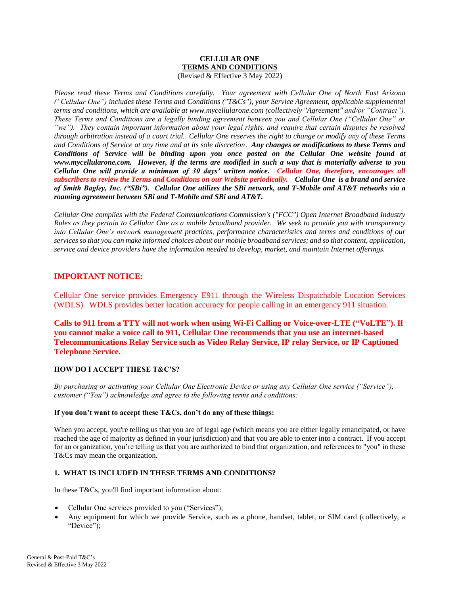#### **CELLULAR ONE TERMS AND CONDITIONS** (Revised & Effective 3 May 2022)

*Please read these Terms and Conditions carefully. Your agreement with Cellular One of North East Arizona ("Cellular One") includes these Terms and Conditions ("T&Cs"), your Service Agreement, applicable supplemental terms and conditions, which are available at [www.mycellularone.com](http://www.cellularoneonline.com/) (collectively "Agreement" and/or "Contract"). These Terms and Conditions are a legally binding agreement between you and Cellular One ("Cellular One" or "we"). They contain important information about your legal rights, and require that certain disputes be resolved through arbitration instead of a court trial. Cellular One reserves the right to change or modify any of these Terms and Conditions of Service at any time and at its sole discretion*. *Any changes or modifications to these Terms and Conditions of Service will be binding upon you once posted on the Cellular One website found at [www.mycellularone.com.](http://www.cellularoneonline.com/) However, if the terms are modified in such a way that is materially adverse to you Cellular One will provide a minimum of 30 days' written notice. Cellular One, therefore, encourages all subscribers to review the Terms and Conditions on our Website periodically. Cellular One is a brand and service of Smith Bagley, Inc. ("SBi"). Cellular One utilizes the SBi network, and T-Mobile and AT&T networks via a roaming agreement between SBi and T-Mobile and SBi and AT&T.*

*Cellular One complies with the Federal Communications Commission's ("FCC") Open Internet Broadband Industry Rules as they pertain to Cellular One as a mobile broadband provider. We seek to provide you with transparency into Cellular One's network management practices, performance characteristics and terms and conditions of our services so that you can make informed choices about our mobile broadband services; and so that content, application, service and device providers have the information needed to develop, market, and maintain Internet offerings.*

# **IMPORTANT NOTICE:**

Cellular One service provides Emergency E911 through the Wireless Dispatchable Location Services (WDLS). WDLS provides better location accuracy for people calling in an emergency 911 situation.

**Calls to 911 from a TTY will not work when using Wi-Fi Calling or Voice-over-LTE ("VoLTE"). If you cannot make a voice call to 911, Cellular One recommends that you use an internet-based Telecommunications Relay Service such as Video Relay Service, IP relay Service, or IP Captioned Telephone Service.** 

# **HOW DO I ACCEPT THESE T&C'S?**

*By purchasing or activating your Cellular One Electronic Device or using any Cellular One service ("Service"), customer ("You") acknowledge and agree to the following terms and conditions:*

### **If you don't want to accept these T&Cs, don't do any of these things:**

When you accept, you're telling us that you are of legal age (which means you are either legally emancipated, or have reached the age of majority as defined in your jurisdiction) and that you are able to enter into a contract. If you accept for an organization, you're telling us that you are authorized to bind that organization, and references to "you" in these T&Cs may mean the organization.

# **1. WHAT IS INCLUDED IN THESE TERMS AND CONDITIONS?**

In these T&Cs, you'll find important information about:

- Cellular One services provided to you ("Services");
- Any equipment for which we provide Service, such as a phone, handset, tablet, or SIM card (collectively, a "Device":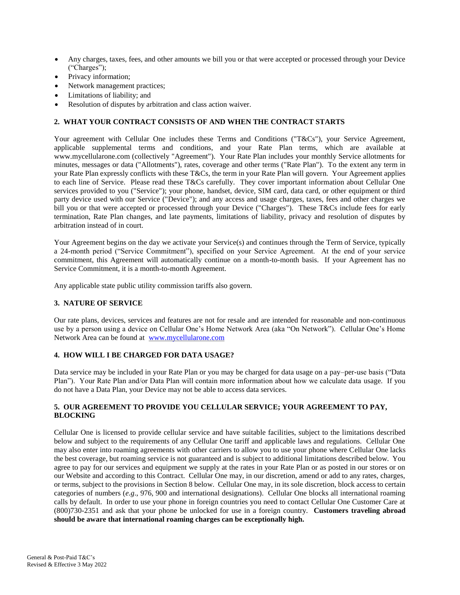- Any charges, taxes, fees, and other amounts we bill you or that were accepted or processed through your Device ("Charges");
- Privacy information;
- Network management practices;
- Limitations of liability; and
- Resolution of disputes by arbitration and class action waiver.

# **2. WHAT YOUR CONTRACT CONSISTS OF AND WHEN THE CONTRACT STARTS**

Your agreement with Cellular One includes these Terms and Conditions ("T&Cs"), your Service Agreement, applicable supplemental terms and conditions, and your Rate Plan terms, which are available at [www.mycellularone.com](http://www.cellularoneonline.com/) (collectively "Agreement"). Your Rate Plan includes your monthly Service allotments for minutes, messages or data ("Allotments"), rates, coverage and other terms ("Rate Plan"). To the extent any term in your Rate Plan expressly conflicts with these T&Cs, the term in your Rate Plan will govern. Your Agreement applies to each line of Service. Please read these T&Cs carefully. They cover important information about Cellular One services provided to you ("Service"); your phone, handset, device, SIM card, data card, or other equipment or third party device used with our Service ("Device"); and any access and usage charges, taxes, fees and other charges we bill you or that were accepted or processed through your Device ("Charges"). These T&Cs include fees for early termination, Rate Plan changes, and late payments, limitations of liability, privacy and resolution of disputes by arbitration instead of in court.

Your Agreement begins on the day we activate your Service(s) and continues through the Term of Service, typically a 24-month period ("Service Commitment"), specified on your Service Agreement. At the end of your service commitment, this Agreement will automatically continue on a month-to-month basis. If your Agreement has no Service Commitment, it is a month-to-month Agreement.

Any applicable state public utility commission tariffs also govern.

### **3. NATURE OF SERVICE**

Our rate plans, devices, services and features are not for resale and are intended for reasonable and non-continuous use by a person using a device on Cellular One's Home Network Area (aka "On Network"). Cellular One's Home Network Area can be found at [www.mycellularone.com](http://www.mycellularone.com/)

### **4. HOW WILL I BE CHARGED FOR DATA USAGE?**

Data service may be included in your Rate Plan or you may be charged for data usage on a pay–per-use basis ("Data Plan"). Your Rate Plan and/or Data Plan will contain more information about how we calculate data usage. If you do not have a Data Plan, your Device may not be able to access data services.

### **5. OUR AGREEMENT TO PROVIDE YOU CELLULAR SERVICE; YOUR AGREEMENT TO PAY, BLOCKING**

Cellular One is licensed to provide cellular service and have suitable facilities, subject to the limitations described below and subject to the requirements of any Cellular One tariff and applicable laws and regulations. Cellular One may also enter into roaming agreements with other carriers to allow you to use your phone where Cellular One lacks the best coverage, but roaming service is not guaranteed and is subject to additional limitations described below. You agree to pay for our services and equipment we supply at the rates in your Rate Plan or as posted in our stores or on our Website and according to this Contract. Cellular One may, in our discretion, amend or add to any rates, charges, or terms, subject to the provisions in Section 8 below. Cellular One may, in its sole discretion, block access to certain categories of numbers (*e.g*., 976, 900 and international designations). Cellular One blocks all international roaming calls by default. In order to use your phone in foreign countries you need to contact Cellular One Customer Care at (800)730-2351 and ask that your phone be unlocked for use in a foreign country. **Customers traveling abroad should be aware that international roaming charges can be exceptionally high.**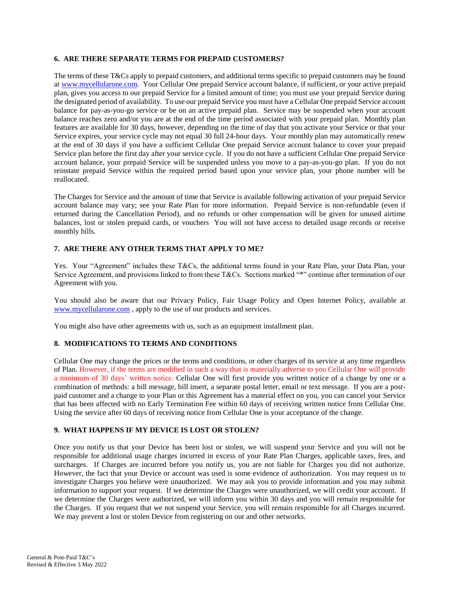### **6. ARE THERE SEPARATE TERMS FOR PREPAID CUSTOMERS?**

The terms of these T&Cs apply to prepaid customers, and additional terms specific to prepaid customers may be found a[t www.mycellularone.com.](http://www.cellularoneonline.com/) Your Cellular One prepaid Service account balance, if sufficient, or your active prepaid plan, gives you access to our prepaid Service for a limited amount of time; you must use your prepaid Service during the designated period of availability. To use our prepaid Service you must have a Cellular One prepaid Service account balance for pay-as-you-go service or be on an active prepaid plan. Service may be suspended when your account balance reaches zero and/or you are at the end of the time period associated with your prepaid plan. Monthly plan features are available for 30 days, however, depending on the time of day that you activate your Service or that your Service expires, your service cycle may not equal 30 full 24-hour days. Your monthly plan may automatically renew at the end of 30 days if you have a sufficient Cellular One prepaid Service account balance to cover your prepaid Service plan before the first day after your service cycle. If you do not have a sufficient Cellular One prepaid Service account balance, your prepaid Service will be suspended unless you move to a pay-as-you-go plan. If you do not reinstate prepaid Service within the required period based upon your service plan, your phone number will be reallocated.

The Charges for Service and the amount of time that Service is available following activation of your prepaid Service account balance may vary; see your Rate Plan for more information. Prepaid Service is non-refundable (even if returned during the Cancellation Period), and no refunds or other compensation will be given for unused airtime balances, lost or stolen prepaid cards, or vouchers You will not have access to detailed usage records or receive monthly bills.

### **7. ARE THERE ANY OTHER TERMS THAT APPLY TO ME?**

Yes. Your "Agreement" includes these T&Cs, the additional terms found in your Rate Plan, your Data Plan, your Service Agreement, and provisions linked to from these T&Cs. Sections marked "\*" continue after termination of our Agreement with you.

You should also be aware that our [Privacy Policy,](http://www.t-mobile.com/company/website/privacypolicy.aspx) Fair Usage Policy and [Open Internet Policy,](http://www.t-mobile.com/OpenInternet) available at [www.mycellularone.com](http://www.mycellularone.com/) , apply to the use of our products and services.

You might also have other agreements with us, such as an equipment installment plan.

### **8. MODIFICATIONS TO TERMS AND CONDITIONS**

Cellular One may change the prices or the terms and conditions, or other charges of its service at any time regardless of Plan. However, if the terms are modified in such a way that is materially adverse to you Cellular One will provide a minimum of 30 days' written notice. Cellular One will first provide you written notice of a change by one or a combination of methods: a bill message, bill insert, a separate postal letter, email or text message. If you are a postpaid customer and a change to your Plan or this Agreement has a material effect on you, you can cancel your Service that has been affected with no Early Termination Fee within 60 days of receiving written notice from Cellular One. Using the service after 60 days of receiving notice from Cellular One is your acceptance of the change.

### **9. WHAT HAPPENS IF MY DEVICE IS LOST OR STOLEN?**

Once you notify us that your Device has been lost or stolen, we will suspend your Service and you will not be responsible for additional usage charges incurred in excess of your Rate Plan Charges, applicable taxes, fees, and surcharges. If Charges are incurred before you notify us, you are not liable for Charges you did not authorize. However, the fact that your Device or account was used is some evidence of authorization. You may request us to investigate Charges you believe were unauthorized. We may ask you to provide information and you may submit information to support your request. If we determine the Charges were unauthorized, we will credit your account. If we determine the Charges were authorized, we will inform you within 30 days and you will remain responsible for the Charges. If you request that we not suspend your Service, you will remain responsible for all Charges incurred. We may prevent a lost or stolen Device from registering on our and other networks.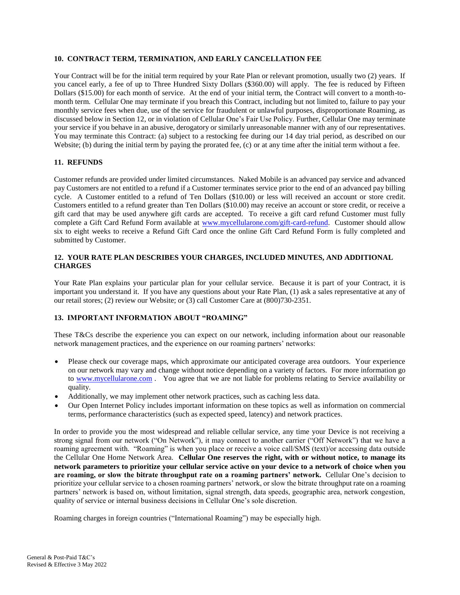### **10. CONTRACT TERM, TERMINATION, AND EARLY CANCELLATION FEE**

Your Contract will be for the initial term required by your Rate Plan or relevant promotion, usually two (2) years. If you cancel early, a fee of up to Three Hundred Sixty Dollars (\$360.00) will apply. The fee is reduced by Fifteen Dollars (\$15.00) for each month of service. At the end of your initial term, the Contract will convert to a month-tomonth term. Cellular One may terminate if you breach this Contract, including but not limited to, failure to pay your monthly service fees when due, use of the service for fraudulent or unlawful purposes, disproportionate Roaming, as discussed below in Section 12, or in violation of Cellular One's Fair Use Policy. Further, Cellular One may terminate your service if you behave in an abusive, derogatory or similarly unreasonable manner with any of our representatives. You may terminate this Contract: (a) subject to a restocking fee during our 14 day trial period, as described on our Website; (b) during the initial term by paying the prorated fee, (c) or at any time after the initial term without a fee.

### **11. REFUNDS**

Customer refunds are provided under limited circumstances. Naked Mobile is an advanced pay service and advanced pay Customers are not entitled to a refund if a Customer terminates service prior to the end of an advanced pay billing cycle. A Customer entitled to a refund of Ten Dollars (\$10.00) or less will received an account or store credit. Customers entitled to a refund greater than Ten Dollars (\$10.00) may receive an account or store credit, or receive a gift card that may be used anywhere gift cards are accepted. To receive a gift card refund Customer must fully complete a Gift Card Refund Form available at [www.mycellularone.com/gift-card-refund.](http://www.mycellularone.com/gift-card-refund) Customer should allow six to eight weeks to receive a Refund Gift Card once the online Gift Card Refund Form is fully completed and submitted by Customer.

### **12. YOUR RATE PLAN DESCRIBES YOUR CHARGES, INCLUDED MINUTES, AND ADDITIONAL CHARGES**

Your Rate Plan explains your particular plan for your cellular service. Because it is part of your Contract, it is important you understand it. If you have any questions about your Rate Plan, (1) ask a sales representative at any of our retail stores; (2) review our Website; or (3) call Customer Care at (800)730-2351.

## **13. IMPORTANT INFORMATION ABOUT "ROAMING"**

These T&Cs describe the experience you can expect on our network, including information about our reasonable network management practices, and the experience on our roaming partners' networks:

- Please check our coverage maps, which approximate our anticipated coverage area outdoors. Your experience on our network may vary and change without notice depending on a variety of factors. For more information go to [www.mycellularone.com](http://www.mycellularone.com/) . You agree that we are not liable for problems relating to Service availability or quality.
- Additionally, we may implement other network practices, such as caching less data.
- Our [Open Internet Policy](http://www.t-mobile.com/OpenInternet) includes important information on these topics as well as information on commercial terms, performance characteristics (such as expected speed, latency) and network practices.

In order to provide you the most widespread and reliable cellular service, any time your Device is not receiving a strong signal from our network ("On Network"), it may connect to another carrier ("Off Network") that we have a roaming agreement with. "Roaming" is when you place or receive a voice call/SMS (text)/or accessing data outside the Cellular One Home Network Area. **Cellular One reserves the right, with or without notice, to manage its network parameters to prioritize your cellular service active on your device to a network of choice when you are roaming, or slow the bitrate throughput rate on a roaming partners' network.** Cellular One's decision to prioritize your cellular service to a chosen roaming partners' network, or slow the bitrate throughput rate on a roaming partners' network is based on, without limitation, signal strength, data speeds, geographic area, network congestion, quality of service or internal business decisions in Cellular One's sole discretion.

Roaming charges in foreign countries ("International Roaming") may be especially high.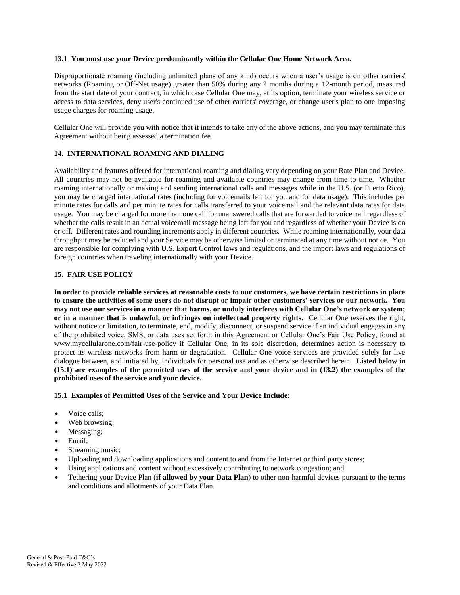#### **13.1 You must use your Device predominantly within the Cellular One Home Network Area.**

Disproportionate roaming (including unlimited plans of any kind) occurs when a user's usage is on other carriers' networks (Roaming or Off-Net usage) greater than 50% during any 2 months during a 12-month period, measured from the start date of your contract, in which case Cellular One may, at its option, terminate your wireless service or access to data services, deny user's continued use of other carriers' coverage, or change user's plan to one imposing usage charges for roaming usage.

Cellular One will provide you with notice that it intends to take any of the above actions, and you may terminate this Agreement without being assessed a termination fee.

### **14. INTERNATIONAL ROAMING AND DIALING**

Availability and features offered for international roaming and dialing vary depending on your Rate Plan and Device. All countries may not be available for roaming and available countries may change from time to time. Whether roaming internationally or making and sending international calls and messages while in the U.S. (or Puerto Rico), you may be charged international rates (including for voicemails left for you and for data usage). This includes per minute rates for calls and per minute rates for calls transferred to your voicemail and the relevant data rates for data usage. You may be charged for more than one call for unanswered calls that are forwarded to voicemail regardless of whether the calls result in an actual voicemail message being left for you and regardless of whether your Device is on or off. Different rates and rounding increments apply in different countries. While roaming internationally, your data throughput may be reduced and your Service may be otherwise limited or terminated at any time without notice. You are responsible for complying with U.S. Export Control laws and regulations, and the import laws and regulations of foreign countries when traveling internationally with your Device.

#### **15. FAIR USE POLICY**

**In order to provide reliable services at reasonable costs to our customers, we have certain restrictions in place to ensure the activities of some users do not disrupt or impair other customers' services or our network. You may not use our services in a manner that harms, or unduly interferes with Cellular One's network or system; or in a manner that is unlawful, or infringes on intellectual property rights.** Cellular One reserves the right, without notice or limitation, to terminate, end, modify, disconnect, or suspend service if an individual engages in any of the prohibited voice, SMS, or data uses set forth in this Agreement or Cellular One's Fair Use Policy, found at [www.mycellularone.com/fair-use-policy](http://www.cellularoneonline.com/fair-use-policy) if Cellular One, in its sole discretion, determines action is necessary to protect its wireless networks from harm or degradation. Cellular One voice services are provided solely for live dialogue between, and initiated by, individuals for personal use and as otherwise described herein. **Listed below in (15.1) are examples of the permitted uses of the service and your device and in (13.2) the examples of the prohibited uses of the service and your device.**

#### **15.1 Examples of Permitted Uses of the Service and Your Device Include:**

- Voice calls;
- Web browsing;
- Messaging;
- Email;
- Streaming music;
- Uploading and downloading applications and content to and from the Internet or third party stores;
- Using applications and content without excessively contributing to network congestion; and
- Tethering your Device Plan (**if allowed by your Data Plan**) to other non-harmful devices pursuant to the terms and conditions and allotments of your Data Plan.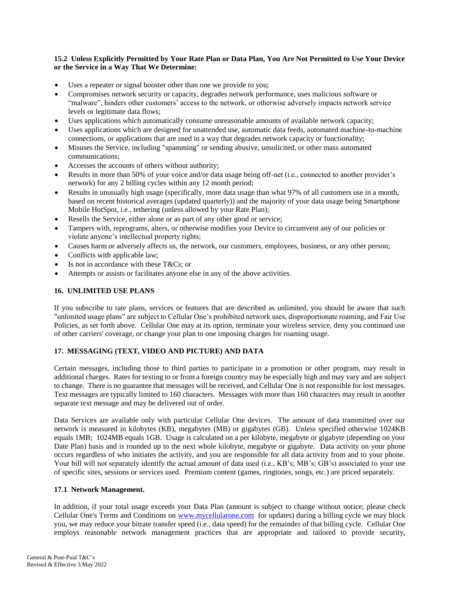### **15.2 Unless Explicitly Permitted by Your Rate Plan or Data Plan, You Are Not Permitted to Use Your Device or the Service in a Way That We Determine:**

- Uses a repeater or signal booster other than one we provide to you;
- Compromises network security or capacity, degrades network performance, uses malicious software or "malware", hinders other customers' access to the network, or otherwise adversely impacts network service levels or legitimate data flows;
- Uses applications which automatically consume unreasonable amounts of available network capacity;
- Uses applications which are designed for unattended use, automatic data feeds, automated machine-to-machine connections, or applications that are used in a way that degrades network capacity or functionality;
- Misuses the Service, including "spamming" or sending abusive, unsolicited, or other mass automated communications;
- Accesses the accounts of others without authority;
- Results in more than 50% of your voice and/or data usage being off-net (i.e., connected to another provider's network) for any 2 billing cycles within any 12 month period;
- Results in unusually high usage (specifically, more data usage than what 97% of all customers use in a month, based on recent historical averages (updated quarterly)) and the majority of your data usage being Smartphone Mobile HotSpot, i.e., tethering (unless allowed by your Rate Plan);
- Resells the Service, either alone or as part of any other good or service;
- Tampers with, reprograms, alters, or otherwise modifies your Device to circumvent any of our policies or violate anyone's intellectual property rights;
- Causes harm or adversely affects us, the network, our customers, employees, business, or any other person;
- Conflicts with applicable law;
- Is not in accordance with these T&Cs; or
- Attempts or assists or facilitates anyone else in any of the above activities.

### **16. UNLIMITED USE PLANS**

If you subscribe to rate plans, services or features that are described as unlimited, you should be aware that such "unlimited usage plans" are subject to Cellular One's prohibited network uses, disproportionate roaming, and Fair Use Policies, as set forth above. Cellular One may at its option, terminate your wireless service, deny you continued use of other carriers' coverage, or change your plan to one imposing charges for roaming usage.

### **17. MESSAGING (TEXT, VIDEO AND PICTURE) AND DATA**

Certain messages, including those to third parties to participate in a promotion or other program, may result in additional charges. Rates for texting to or from a foreign country may be especially high and may vary and are subject to change. There is no guarantee that messages will be received, and Cellular One is not responsible for lost messages. Text messages are typically limited to 160 characters. Messages with more than 160 characters may result in another separate text message and may be delivered out of order.

Data Services are available only with particular Cellular One devices. The amount of data transmitted over our network is measured in kilobytes (KB), megabytes (MB) or gigabytes (GB). Unless specified otherwise 1024KB equals 1MB; 1024MB equals 1GB. Usage is calculated on a per kilobyte, megabyte or gigabyte (depending on your Date Plan) basis and is rounded up to the next whole kilobyte, megabyte or gigabyte. Data activity on your phone occurs regardless of who initiates the activity, and you are responsible for all data activity from and to your phone. Your bill will not separately identify the actual amount of data used (i.e., KB's; MB's; GB's) associated to your use of specific sites, sessions or services used. Premium content (games, ringtones, songs, etc.) are priced separately.

### **17.1 Network Management.**

In addition, if your total usage exceeds your Data Plan (amount is subject to change without notice; please check Cellular One's Terms and Conditions on [www.mycellularone.com](http://www.mycellularone.com/) for updates) during a billing cycle we may block you, we may reduce your bitrate transfer speed (i.e., data speed) for the remainder of that billing cycle. Cellular One employs reasonable network management practices that are appropriate and tailored to provide security,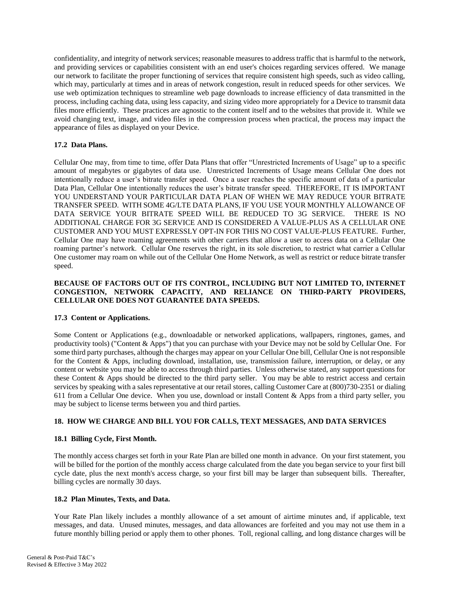confidentiality, and integrity of network services; reasonable measures to address traffic that is harmful to the network, and providing services or capabilities consistent with an end user's choices regarding services offered. We manage our network to facilitate the proper functioning of services that require consistent high speeds, such as video calling, which may, particularly at times and in areas of network congestion, result in reduced speeds for other services. We use web optimization techniques to streamline web page downloads to increase efficiency of data transmitted in the process, including caching data, using less capacity, and sizing video more appropriately for a Device to transmit data files more efficiently. These practices are agnostic to the content itself and to the websites that provide it. While we avoid changing text, image, and video files in the compression process when practical, the process may impact the appearance of files as displayed on your Device.

# **17.2 Data Plans.**

Cellular One may, from time to time, offer Data Plans that offer "Unrestricted Increments of Usage" up to a specific amount of megabytes or gigabytes of data use. Unrestricted Increments of Usage means Cellular One does not intentionally reduce a user's bitrate transfer speed. Once a user reaches the specific amount of data of a particular Data Plan, Cellular One intentionally reduces the user's bitrate transfer speed. THEREFORE, IT IS IMPORTANT YOU UNDERSTAND YOUR PARTICULAR DATA PLAN OF WHEN WE MAY REDUCE YOUR BITRATE TRANSFER SPEED. WITH SOME 4G/LTE DATA PLANS, IF YOU USE YOUR MONTHLY ALLOWANCE OF DATA SERVICE YOUR BITRATE SPEED WILL BE REDUCED TO 3G SERVICE. THERE IS NO ADDITIONAL CHARGE FOR 3G SERVICE AND IS CONSIDERED A VALUE-PLUS AS A CELLULAR ONE CUSTOMER AND YOU MUST EXPRESSLY OPT-IN FOR THIS NO COST VALUE-PLUS FEATURE. Further, Cellular One may have roaming agreements with other carriers that allow a user to access data on a Cellular One roaming partner's network. Cellular One reserves the right, in its sole discretion, to restrict what carrier a Cellular One customer may roam on while out of the Cellular One Home Network, as well as restrict or reduce bitrate transfer speed.

## **BECAUSE OF FACTORS OUT OF ITS CONTROL, INCLUDING BUT NOT LIMITED TO, INTERNET CONGESTION, NETWORK CAPACITY, AND RELIANCE ON THIRD-PARTY PROVIDERS, CELLULAR ONE DOES NOT GUARANTEE DATA SPEEDS.**

### **17.3 Content or Applications.**

Some Content or Applications (e.g., downloadable or networked applications, wallpapers, ringtones, games, and productivity tools) ("Content & Apps") that you can purchase with your Device may not be sold by Cellular One. For some third party purchases, although the charges may appear on your Cellular One bill, Cellular One is not responsible for the Content & Apps, including download, installation, use, transmission failure, interruption, or delay, or any content or website you may be able to access through third parties. Unless otherwise stated, any support questions for these Content & Apps should be directed to the third party seller. You may be able to restrict access and certain services by speaking with a sales representative at our retail stores, calling Customer Care at (800)730-2351 or dialing 611 from a Cellular One device. When you use, download or install Content & Apps from a third party seller, you may be subject to license terms between you and third parties.

# **18. HOW WE CHARGE AND BILL YOU FOR CALLS, TEXT MESSAGES, AND DATA SERVICES**

### **18.1 Billing Cycle, First Month.**

The monthly access charges set forth in your Rate Plan are billed one month in advance. On your first statement, you will be billed for the portion of the monthly access charge calculated from the date you began service to your first bill cycle date, plus the next month's access charge, so your first bill may be larger than subsequent bills. Thereafter, billing cycles are normally 30 days.

### **18.2 Plan Minutes, Texts, and Data.**

Your Rate Plan likely includes a monthly allowance of a set amount of airtime minutes and, if applicable, text messages, and data. Unused minutes, messages, and data allowances are forfeited and you may not use them in a future monthly billing period or apply them to other phones. Toll, regional calling, and long distance charges will be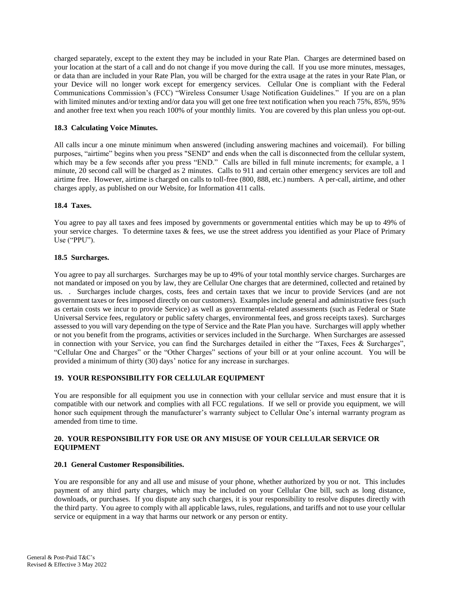charged separately, except to the extent they may be included in your Rate Plan. Charges are determined based on your location at the start of a call and do not change if you move during the call. If you use more minutes, messages, or data than are included in your Rate Plan, you will be charged for the extra usage at the rates in your Rate Plan, or your Device will no longer work except for emergency services. Cellular One is compliant with the Federal Communications Commission's (FCC) "Wireless Consumer Usage Notification Guidelines." If you are on a plan with limited minutes and/or texting and/or data you will get one free text notification when you reach 75%, 85%, 95% and another free text when you reach 100% of your monthly limits. You are covered by this plan unless you opt-out.

## **18.3 Calculating Voice Minutes.**

All calls incur a one minute minimum when answered (including answering machines and voicemail). For billing purposes, "airtime" begins when you press "SEND" and ends when the call is disconnected from the cellular system, which may be a few seconds after you press "END." Calls are billed in full minute increments; for example, a 1 minute, 20 second call will be charged as 2 minutes. Calls to 911 and certain other emergency services are toll and airtime free. However, airtime is charged on calls to toll-free (800, 888, etc.) numbers. A per-call, airtime, and other charges apply, as published on our Website, for Information 411 calls.

# **18.4 Taxes.**

You agree to pay all taxes and fees imposed by governments or governmental entities which may be up to 49% of your service charges. To determine taxes & fees, we use the street address you identified as your Place of Primary Use ("PPU").

### **18.5 Surcharges.**

You agree to pay all surcharges. Surcharges may be up to 49% of your total monthly service charges. Surcharges are not mandated or imposed on you by law, they are Cellular One charges that are determined, collected and retained by us. . Surcharges include charges, costs, fees and certain taxes that we incur to provide Services (and are not government taxes or fees imposed directly on our customers). Examples include general and administrative fees (such as certain costs we incur to provide Service) as well as governmental-related assessments (such as Federal or State Universal Service fees, regulatory or public safety charges, environmental fees, and gross receipts taxes). Surcharges assessed to you will vary depending on the type of Service and the Rate Plan you have. Surcharges will apply whether or not you benefit from the programs, activities or services included in the Surcharge. When Surcharges are assessed in connection with your Service, you can find the Surcharges detailed in either the "Taxes, Fees & Surcharges", "Cellular One and Charges" or the "Other Charges" sections of your bill or at your online account. You will be provided a minimum of thirty (30) days' notice for any increase in surcharges.

# **19. YOUR RESPONSIBILITY FOR CELLULAR EQUIPMENT**

You are responsible for all equipment you use in connection with your cellular service and must ensure that it is compatible with our network and complies with all FCC regulations. If we sell or provide you equipment, we will honor such equipment through the manufacturer's warranty subject to Cellular One's internal warranty program as amended from time to time.

### **20. YOUR RESPONSIBILITY FOR USE OR ANY MISUSE OF YOUR CELLULAR SERVICE OR EQUIPMENT**

### **20.1 General Customer Responsibilities.**

You are responsible for any and all use and misuse of your phone, whether authorized by you or not. This includes payment of any third party charges, which may be included on your Cellular One bill, such as long distance, downloads, or purchases. If you dispute any such charges, it is your responsibility to resolve disputes directly with the third party. You agree to comply with all applicable laws, rules, regulations, and tariffs and not to use your cellular service or equipment in a way that harms our network or any person or entity.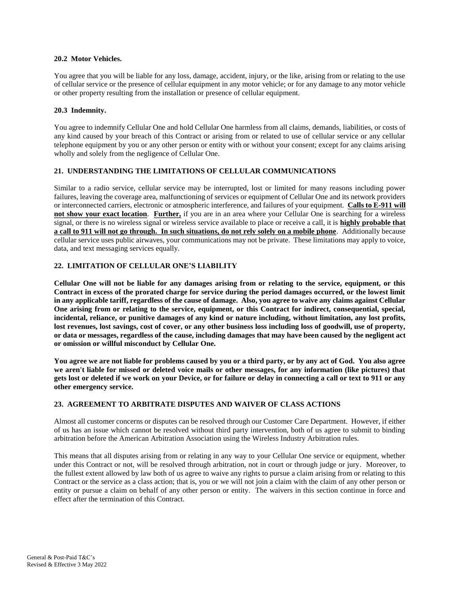#### **20.2 Motor Vehicles.**

You agree that you will be liable for any loss, damage, accident, injury, or the like, arising from or relating to the use of cellular service or the presence of cellular equipment in any motor vehicle; or for any damage to any motor vehicle or other property resulting from the installation or presence of cellular equipment.

#### **20.3 Indemnity.**

You agree to indemnify Cellular One and hold Cellular One harmless from all claims, demands, liabilities, or costs of any kind caused by your breach of this Contract or arising from or related to use of cellular service or any cellular telephone equipment by you or any other person or entity with or without your consent; except for any claims arising wholly and solely from the negligence of Cellular One.

### **21. UNDERSTANDING THE LIMITATIONS OF CELLULAR COMMUNICATIONS**

Similar to a radio service, cellular service may be interrupted, lost or limited for many reasons including power failures, leaving the coverage area, malfunctioning of services or equipment of Cellular One and its network providers or interconnected carriers, electronic or atmospheric interference, and failures of your equipment. **Calls to E-911 will not show your exact location**. **Further,** if you are in an area where your Cellular One is searching for a wireless signal, or there is no wireless signal or wireless service available to place or receive a call, it is **highly probable that a call to 911 will not go through. In such situations, do not rely solely on a mobile phone**. Additionally because cellular service uses public airwaves, your communications may not be private. These limitations may apply to voice, data, and text messaging services equally.

# **22. LIMITATION OF CELLULAR ONE'S LIABILITY**

**Cellular One will not be liable for any damages arising from or relating to the service, equipment, or this Contract in excess of the prorated charge for service during the period damages occurred, or the lowest limit in any applicable tariff, regardless of the cause of damage. Also, you agree to waive any claims against Cellular One arising from or relating to the service, equipment, or this Contract for indirect, consequential, special, incidental, reliance, or punitive damages of any kind or nature including, without limitation, any lost profits, lost revenues, lost savings, cost of cover, or any other business loss including loss of goodwill, use of property, or data or messages, regardless of the cause, including damages that may have been caused by the negligent act or omission or willful misconduct by Cellular One.**

**You agree we are not liable for problems caused by you or a third party, or by any act of God. You also agree we aren't liable for missed or deleted voice mails or other messages, for any information (like pictures) that gets lost or deleted if we work on your Device, or for failure or delay in connecting a call or text to 911 or any other emergency service.** 

### **23. AGREEMENT TO ARBITRATE DISPUTES AND WAIVER OF CLASS ACTIONS**

Almost all customer concerns or disputes can be resolved through our Customer Care Department. However, if either of us has an issue which cannot be resolved without third party intervention, both of us agree to submit to binding arbitration before the American Arbitration Association using the Wireless Industry Arbitration rules.

This means that all disputes arising from or relating in any way to your Cellular One service or equipment, whether under this Contract or not, will be resolved through arbitration, not in court or through judge or jury. Moreover, to the fullest extent allowed by law both of us agree to waive any rights to pursue a claim arising from or relating to this Contract or the service as a class action; that is, you or we will not join a claim with the claim of any other person or entity or pursue a claim on behalf of any other person or entity. The waivers in this section continue in force and effect after the termination of this Contract.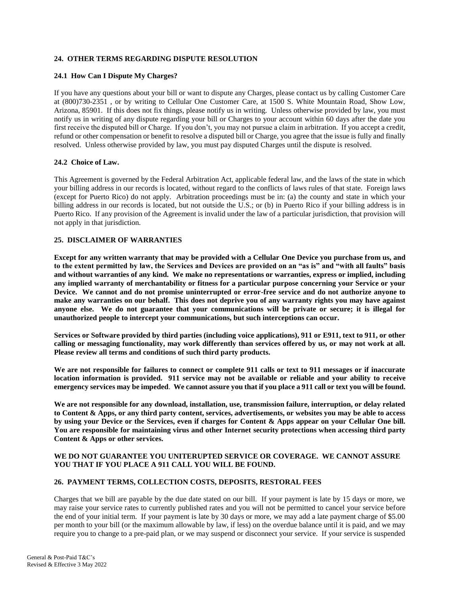### **24. OTHER TERMS REGARDING DISPUTE RESOLUTION**

#### **24.1 How Can I Dispute My Charges?**

If you have any questions about your bill or want to dispute any Charges, please contact us by calling Customer Care at (800)730-2351 , or by writing to Cellular One Customer Care, at 1500 S. White Mountain Road, Show Low, Arizona, 85901. If this does not fix things, please notify us in writing. Unless otherwise provided by law, you must notify us in writing of any dispute regarding your bill or Charges to your account within 60 days after the date you first receive the disputed bill or Charge. If you don't, you may not pursue a claim in arbitration. If you accept a credit, refund or other compensation or benefit to resolve a disputed bill or Charge, you agree that the issue is fully and finally resolved. Unless otherwise provided by law, you must pay disputed Charges until the dispute is resolved.

#### **24.2 Choice of Law.**

This Agreement is governed by the Federal Arbitration Act, applicable federal law, and the laws of the state in which your billing address in our records is located, without regard to the conflicts of laws rules of that state. Foreign laws (except for Puerto Rico) do not apply. Arbitration proceedings must be in: (a) the county and state in which your billing address in our records is located, but not outside the U.S.; or (b) in Puerto Rico if your billing address is in Puerto Rico. If any provision of the Agreement is invalid under the law of a particular jurisdiction, that provision will not apply in that jurisdiction.

#### **25. DISCLAIMER OF WARRANTIES**

**Except for any written warranty that may be provided with a Cellular One Device you purchase from us, and to the extent permitted by law, the Services and Devices are provided on an "as is" and "with all faults" basis and without warranties of any kind. We make no representations or warranties, express or implied, including any implied warranty of merchantability or fitness for a particular purpose concerning your Service or your Device. We cannot and do not promise uninterrupted or error-free service and do not authorize anyone to make any warranties on our behalf. This does not deprive you of any warranty rights you may have against anyone else. We do not guarantee that your communications will be private or secure; it is illegal for unauthorized people to intercept your communications, but such interceptions can occur.**

**Services or Software provided by third parties (including voice applications), 911 or E911, text to 911, or other calling or messaging functionality, may work differently than services offered by us, or may not work at all. Please review all terms and conditions of such third party products.** 

**We are not responsible for failures to connect or complete 911 calls or text to 911 messages or if inaccurate location information is provided. 911 service may not be available or reliable and your ability to receive emergency services may be impeded**. **We cannot assure you that if you place a 911 call or text you will be found.**

**We are not responsible for any download, installation, use, transmission failure, interruption, or delay related to Content & Apps, or any third party content, services, advertisements, or websites you may be able to access by using your Device or the Services, even if charges for Content & Apps appear on your Cellular One bill. You are responsible for maintaining virus and other Internet security protections when accessing third party Content & Apps or other services.**

#### **WE DO NOT GUARANTEE YOU UNITERUPTED SERVICE OR COVERAGE. WE CANNOT ASSURE YOU THAT IF YOU PLACE A 911 CALL YOU WILL BE FOUND.**

### **26. PAYMENT TERMS, COLLECTION COSTS, DEPOSITS, RESTORAL FEES**

Charges that we bill are payable by the due date stated on our bill. If your payment is late by 15 days or more, we may raise your service rates to currently published rates and you will not be permitted to cancel your service before the end of your initial term. If your payment is late by 30 days or more, we may add a late payment charge of \$5.00 per month to your bill (or the maximum allowable by law, if less) on the overdue balance until it is paid, and we may require you to change to a pre-paid plan, or we may suspend or disconnect your service. If your service is suspended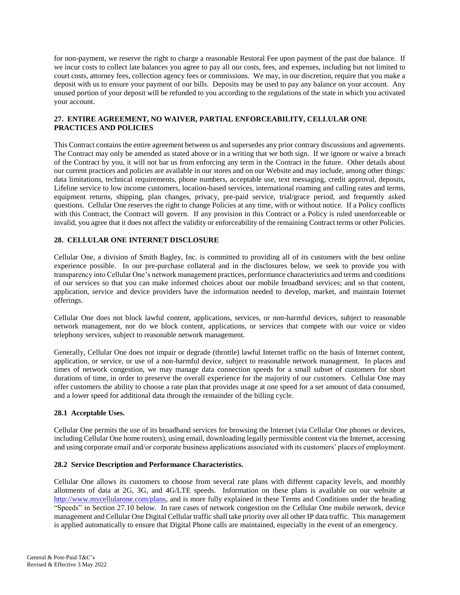for non-payment, we reserve the right to charge a reasonable Restoral Fee upon payment of the past due balance. If we incur costs to collect late balances you agree to pay all our costs, fees, and expenses, including but not limited to court costs, attorney fees, collection agency fees or commissions. We may, in our discretion, require that you make a deposit with us to ensure your payment of our bills. Deposits may be used to pay any balance on your account. Any unused portion of your deposit will be refunded to you according to the regulations of the state in which you activated your account.

# **27. ENTIRE AGREEMENT, NO WAIVER, PARTIAL ENFORCEABILITY, CELLULAR ONE PRACTICES AND POLICIES**

This Contract contains the entire agreement between us and supersedes any prior contrary discussions and agreements. The Contract may only be amended as stated above or in a writing that we both sign. If we ignore or waive a breach of the Contract by you, it will not bar us from enforcing any term in the Contract in the future. Other details about our current practices and policies are available in our stores and on our Website and may include, among other things: data limitations, technical requirements, phone numbers, acceptable use, text messaging, credit approval, deposits, Lifeline service to low income customers, location-based services, international roaming and calling rates and terms, equipment returns, shipping, plan changes, privacy, pre-paid service, trial/grace period, and frequently asked questions. Cellular One reserves the right to change Policies at any time, with or without notice. If a Policy conflicts with this Contract, the Contract will govern. If any provision in this Contract or a Policy is ruled unenforceable or invalid, you agree that it does not affect the validity or enforceability of the remaining Contract terms or other Policies.

# **28. CELLULAR ONE INTERNET DISCLOSURE**

Cellular One, a division of Smith Bagley, Inc. is committed to providing all of its customers with the best online experience possible. In our pre-purchase collateral and in the disclosures below, we seek to provide you with transparency into Cellular One's network management practices, performance characteristics and terms and conditions of our services so that you can make informed choices about our mobile broadband services; and so that content, application, service and device providers have the information needed to develop, market, and maintain Internet offerings.

Cellular One does not block lawful content, applications, services, or non-harmful devices, subject to reasonable network management, nor do we block content, applications, or services that compete with our voice or video telephony services, subject to reasonable network management.

Generally, Cellular One does not impair or degrade (throttle) lawful Internet traffic on the basis of Internet content, application, or service, or use of a non-harmful device, subject to reasonable network management. In places and times of network congestion, we may manage data connection speeds for a small subset of customers for short durations of time, in order to preserve the overall experience for the majority of our customers. Cellular One may offer customers the ability to choose a rate plan that provides usage at one speed for a set amount of data consumed, and a lower speed for additional data through the remainder of the billing cycle.

### **28.1 Acceptable Uses.**

Cellular One permits the use of its broadband services for browsing the Internet (via Cellular One phones or devices, including Cellular One home routers), using email, downloading legally permissible content via the Internet, accessing and using corporate email and/or corporate business applications associated with its customers' places of employment.

### **28.2 Service Description and Performance Characteristics.**

Cellular One allows its customers to choose from several rate plans with different capacity levels, and monthly allotments of data at 2G, 3G, and 4G/LTE speeds. Information on these plans is available on our website at [http://www.mycellularone.com/plans,](http://www.mycellularone.com/plans) and is more fully explained in these Terms and Conditions under the heading "Speeds" in Section 27.10 below. In rare cases of network congestion on the Cellular One mobile network, device management and Cellular One Digital Cellular traffic shall take priority over all other IP data traffic. This management is applied automatically to ensure that Digital Phone calls are maintained, especially in the event of an emergency.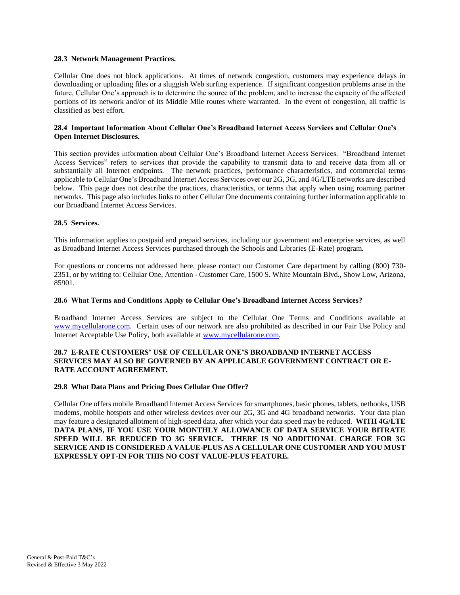#### **28.3 Network Management Practices.**

Cellular One does not block applications. At times of network congestion, customers may experience delays in downloading or uploading files or a sluggish Web surfing experience. If significant congestion problems arise in the future, Cellular One's approach is to determine the source of the problem, and to increase the capacity of the affected portions of its network and/or of its Middle Mile routes where warranted. In the event of congestion, all traffic is classified as best effort.

#### **28.4 Important Information About Cellular One's Broadband Internet Access Services and Cellular One's Open Internet Disclosures.**

This section provides information about Cellular One's Broadband Internet Access Services. "Broadband Internet Access Services" refers to services that provide the capability to transmit data to and receive data from all or substantially all Internet endpoints. The network practices, performance characteristics, and commercial terms applicable to Cellular One's Broadband Internet Access Services over our 2G, 3G, and 4G/LTE networks are described below. This page does not describe the practices, characteristics, or terms that apply when using roaming partner networks. This page also includes links to other Cellular One documents containing further information applicable to our Broadband Internet Access Services.

#### **28.5 Services.**

This information applies to postpaid and prepaid services, including our government and enterprise services, as well as Broadband Internet Access Services purchased through the Schools and Libraries (E-Rate) program.

For questions or concerns not addressed here, please contact our Customer Care department by calling (800) 730- 2351, or by writing to: Cellular One, Attention - Customer Care, 1500 S. White Mountain Blvd., Show Low, Arizona, 85901.

#### **28.6 What Terms and Conditions Apply to Cellular One's Broadband Internet Access Services?**

Broadband Internet Access Services are subject to the Cellular One Terms and Conditions available at [www.mycellularone.com.](http://www.cellularoneonline.com/) Certain uses of our network are also prohibited as described in our Fair Use Policy and Internet Acceptable Use Policy, both available at [www.mycellularone.com.](http://www.cellularoneonline.com/)

#### **28.7 E-RATE CUSTOMERS' USE OF CELLULAR ONE'S BROADBAND INTERNET ACCESS SERVICES MAY ALSO BE GOVERNED BY AN APPLICABLE GOVERNMENT CONTRACT OR E-RATE ACCOUNT AGREEMENT.**

#### **29.8 What Data Plans and Pricing Does Cellular One Offer?**

Cellular One offers mobile Broadband Internet Access Services for smartphones, basic phones, tablets, netbooks, USB modems, mobile hotspots and other wireless devices over our 2G, 3G and 4G broadband networks. Your data plan may feature a designated allotment of high-speed data, after which your data speed may be reduced. **WITH 4G/LTE DATA PLANS, IF YOU USE YOUR MONTHLY ALLOWANCE OF DATA SERVICE YOUR BITRATE SPEED WILL BE REDUCED TO 3G SERVICE. THERE IS NO ADDITIONAL CHARGE FOR 3G SERVICE AND IS CONSIDERED A VALUE-PLUS AS A CELLULAR ONE CUSTOMER AND YOU MUST EXPRESSLY OPT-IN FOR THIS NO COST VALUE-PLUS FEATURE.**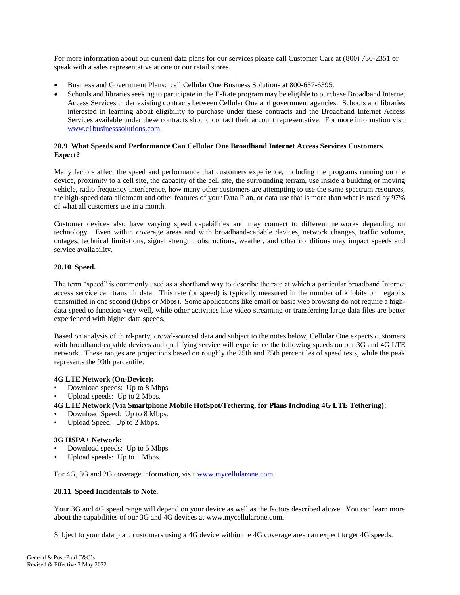For more information about our current data plans for our services please call Customer Care at (800) 730-2351 or speak with a sales representative at one or our retail stores.

- [Business and Government Plans:](http://business.t-mobile.com/) call Cellular One Business Solutions at 800-657-6395.
- Schools and libraries seeking to participate in the E-Rate program may be eligible to purchase Broadband Internet Access Services under existing contracts between Cellular One and government agencies. Schools and libraries interested in learning about eligibility to purchase under these contracts and the Broadband Internet Access Services available under these contracts should contact their account representative. For more information visit [www.c1businesssolutions.com.](http://www.c1businesssolutions.com/)

#### **28.9 What Speeds and Performance Can Cellular One Broadband Internet Access Services Customers Expect?**

Many factors affect the speed and performance that customers experience, including the programs running on the device, proximity to a cell site, the capacity of the cell site, the surrounding terrain, use inside a building or moving vehicle, radio frequency interference, how many other customers are attempting to use the same spectrum resources, the high-speed data allotment and other features of your Data Plan, or data use that is more than what is used by 97% of what all customers use in a month.

Customer devices also have varying speed capabilities and may connect to different networks depending on technology. Even within coverage areas and with broadband-capable devices, network changes, traffic volume, outages, technical limitations, signal strength, obstructions, weather, and other conditions may impact speeds and service availability.

### **28.10 Speed.**

The term "speed" is commonly used as a shorthand way to describe the rate at which a particular broadband Internet access service can transmit data. This rate (or speed) is typically measured in the number of kilobits or megabits transmitted in one second (Kbps or Mbps). Some applications like email or basic web browsing do not require a highdata speed to function very well, while other activities like video streaming or transferring large data files are better experienced with higher data speeds.

Based on analysis of third-party, crowd-sourced data and subject to the notes below, Cellular One expects customers with broadband-capable devices and qualifying service will experience the following speeds on our 3G and 4G LTE network. These ranges are projections based on roughly the 25th and 75th percentiles of speed tests, while the peak represents the 99th percentile:

### **4G LTE Network (On-Device):**

- Download speeds: Up to 8 Mbps.
- Upload speeds: Up to 2 Mbps.

# **4G LTE Network (Via Smartphone Mobile HotSpot/Tethering, for Plans Including 4G LTE Tethering):**

- Download Speed: Up to 8 Mbps.
- Upload Speed: Up to 2 Mbps.

### **3G HSPA+ Network:**

- Download speeds: Up to 5 Mbps.
- Upload speeds: Up to 1 Mbps.

For 4G, 3G and 2G coverage information, visit [www.mycellularone.com.](http://www.mycellularone.com/)

#### **28.11 Speed Incidentals to Note.**

Your 3G and 4G speed range will depend on your device as well as the factors described above. You can learn more about the capabilities of our 3G and 4G devices at www.mycellularone.com.

Subject to your data plan, customers using a 4G device within the 4G coverage area can expect to get 4G speeds.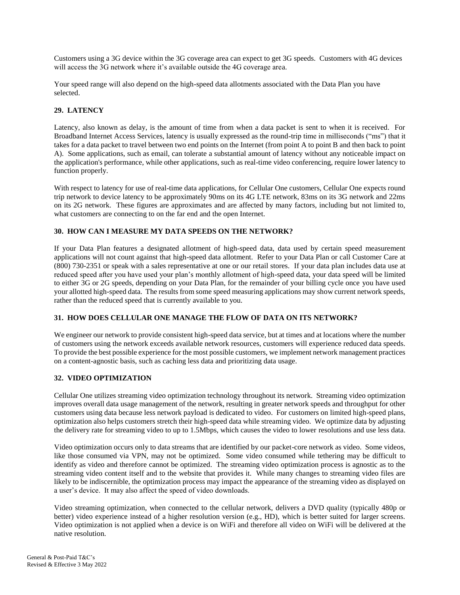Customers using a 3G device within the 3G coverage area can expect to get 3G speeds. Customers with 4G devices will access the 3G network where it's available outside the 4G coverage area.

Your speed range will also depend on the high-speed data allotments associated with the Data Plan you have selected.

# **29. LATENCY**

Latency, also known as delay, is the amount of time from when a data packet is sent to when it is received. For Broadband Internet Access Services, latency is usually expressed as the round-trip time in milliseconds ("ms") that it takes for a data packet to travel between two end points on the Internet (from point A to point B and then back to point A). Some applications, such as email, can tolerate a substantial amount of latency without any noticeable impact on the application's performance, while other applications, such as real-time video conferencing, require lower latency to function properly.

With respect to latency for use of real-time data applications, for Cellular One customers, Cellular One expects round trip network to device latency to be approximately 90ms on its 4G LTE network, 83ms on its 3G network and 22ms on its 2G network. These figures are approximates and are affected by many factors, including but not limited to, what customers are connecting to on the far end and the open Internet.

# **30. HOW CAN I MEASURE MY DATA SPEEDS ON THE NETWORK?**

If your Data Plan features a designated allotment of high-speed data, data used by certain speed measurement applications will not count against that high-speed data allotment. Refer to your Data Plan or call Customer Care at (800) 730-2351 or speak with a sales representative at one or our retail stores. If your data plan includes data use at reduced speed after you have used your plan's monthly allotment of high-speed data, your data speed will be limited to either 3G or 2G speeds, depending on your Data Plan, for the remainder of your billing cycle once you have used your allotted high-speed data. The results from some speed measuring applications may show current network speeds, rather than the reduced speed that is currently available to you.

# **31. HOW DOES CELLULAR ONE MANAGE THE FLOW OF DATA ON ITS NETWORK?**

We engineer our network to provide consistent high-speed data service, but at times and at locations where the number of customers using the network exceeds available network resources, customers will experience reduced data speeds. To provide the best possible experience for the most possible customers, we implement network management practices on a content-agnostic basis, such as caching less data and prioritizing data usage.

### **32. VIDEO OPTIMIZATION**

Cellular One utilizes streaming video optimization technology throughout its network. Streaming video optimization improves overall data usage management of the network, resulting in greater network speeds and throughput for other customers using data because less network payload is dedicated to video. For customers on limited high-speed plans, optimization also helps customers stretch their high-speed data while streaming video. We optimize data by adjusting the delivery rate for streaming video to up to 1.5Mbps, which causes the video to lower resolutions and use less data.

Video optimization occurs only to data streams that are identified by our packet-core network as video. Some videos, like those consumed via VPN, may not be optimized. Some video consumed while tethering may be difficult to identify as video and therefore cannot be optimized. The streaming video optimization process is agnostic as to the streaming video content itself and to the website that provides it. While many changes to streaming video files are likely to be indiscernible, the optimization process may impact the appearance of the streaming video as displayed on a user's device. It may also affect the speed of video downloads.

Video streaming optimization, when connected to the cellular network, delivers a DVD quality (typically 480p or better) video experience instead of a higher resolution version (e.g., HD), which is better suited for larger screens. Video optimization is not applied when a device is on WiFi and therefore all video on WiFi will be delivered at the native resolution.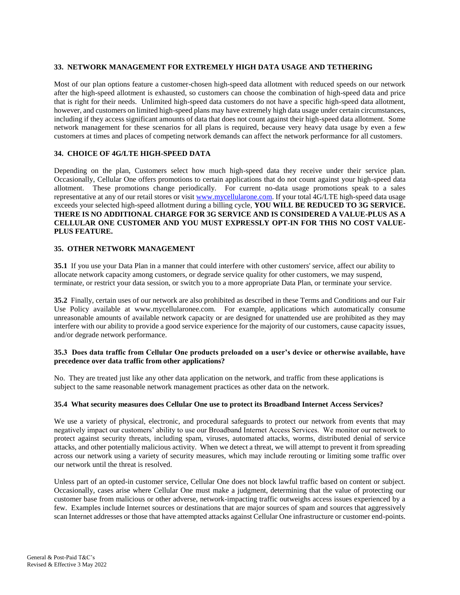### **33. NETWORK MANAGEMENT FOR EXTREMELY HIGH DATA USAGE AND TETHERING**

Most of our plan options feature a customer-chosen high-speed data allotment with reduced speeds on our network after the high-speed allotment is exhausted, so customers can choose the combination of high-speed data and price that is right for their needs. Unlimited high-speed data customers do not have a specific high-speed data allotment, however, and customers on limited high-speed plans may have extremely high data usage under certain circumstances, including if they access significant amounts of data that does not count against their high-speed data allotment. Some network management for these scenarios for all plans is required, because very heavy data usage by even a few customers at times and places of competing network demands can affect the network performance for all customers.

# **34. CHOICE OF 4G/LTE HIGH-SPEED DATA**

Depending on the plan, Customers select how much high-speed data they receive under their service plan. Occasionally, Cellular One offers promotions to certain applications that do not count against your high-speed data allotment. These promotions change periodically. For current no-data usage promotions speak to a sales representative at any of our retail stores or visit [www.mycellularone.com.](http://www.mycellularone.com/) If your total 4G/LTE high-speed data usage exceeds your selected high-speed allotment during a billing cycle, **YOU WILL BE REDUCED TO 3G SERVICE. THERE IS NO ADDITIONAL CHARGE FOR 3G SERVICE AND IS CONSIDERED A VALUE-PLUS AS A CELLULAR ONE CUSTOMER AND YOU MUST EXPRESSLY OPT-IN FOR THIS NO COST VALUE-PLUS FEATURE.**

#### **35. OTHER NETWORK MANAGEMENT**

**35.1** If you use your Data Plan in a manner that could interfere with other customers' service, affect our ability to allocate network capacity among customers, or degrade service quality for other customers, we may suspend, terminate, or restrict your data session, or switch you to a more appropriate Data Plan, or terminate your service.

**35.2** Finally, certain uses of our network are also prohibited as described in these Terms and Conditions and our Fair Use Policy available at www.mycellularonee.com. For example, applications which automatically consume unreasonable amounts of available network capacity or are designed for unattended use are prohibited as they may interfere with our ability to provide a good service experience for the majority of our customers, cause capacity issues, and/or degrade network performance.

#### **35.3 Does data traffic from Cellular One products preloaded on a user's device or otherwise available, have precedence over data traffic from other applications?**

No. They are treated just like any other data application on the network, and traffic from these applications is subject to the same reasonable network management practices as other data on the network.

#### **35.4 What security measures does Cellular One use to protect its Broadband Internet Access Services?**

We use a variety of physical, electronic, and procedural safeguards to protect our network from events that may negatively impact our customers' ability to use our Broadband Internet Access Services. We monitor our network to protect against security threats, including spam, viruses, automated attacks, worms, distributed denial of service attacks, and other potentially malicious activity. When we detect a threat, we will attempt to prevent it from spreading across our network using a variety of security measures, which may include rerouting or limiting some traffic over our network until the threat is resolved.

Unless part of an opted-in customer service, Cellular One does not block lawful traffic based on content or subject. Occasionally, cases arise where Cellular One must make a judgment, determining that the value of protecting our customer base from malicious or other adverse, network-impacting traffic outweighs access issues experienced by a few. Examples include Internet sources or destinations that are major sources of spam and sources that aggressively scan Internet addresses or those that have attempted attacks against Cellular One infrastructure or customer end-points.